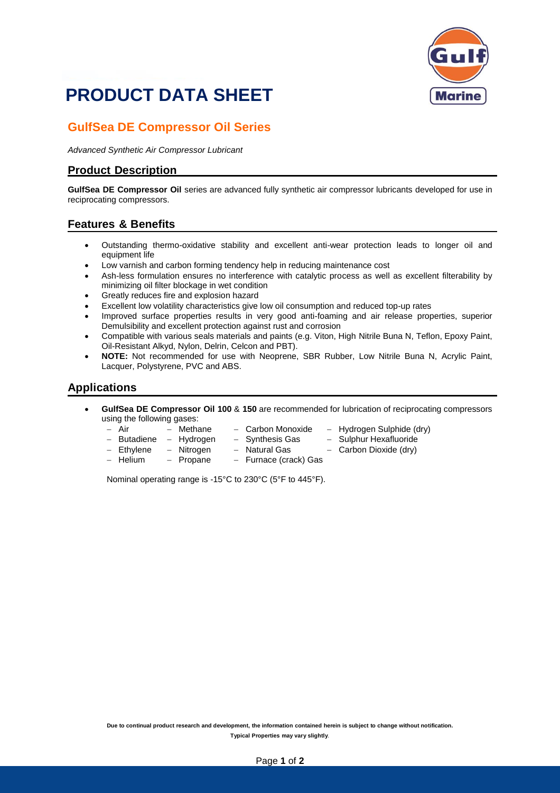

# **PRODUCT DATA SHEET**

## **GulfSea DE Compressor Oil Series**

*Advanced Synthetic Air Compressor Lubricant*

### **Product Description**

**GulfSea DE Compressor Oil** series are advanced fully synthetic air compressor lubricants developed for use in reciprocating compressors.

### **Features & Benefits**

- Outstanding thermo-oxidative stability and excellent anti-wear protection leads to longer oil and equipment life
- Low varnish and carbon forming tendency help in reducing maintenance cost
- Ash-less formulation ensures no interference with catalytic process as well as excellent filterability by minimizing oil filter blockage in wet condition
- Greatly reduces fire and explosion hazard
- Excellent low volatility characteristics give low oil consumption and reduced top-up rates
- Improved surface properties results in very good anti-foaming and air release properties, superior Demulsibility and excellent protection against rust and corrosion
- Compatible with various seals materials and paints (e.g. Viton, High Nitrile Buna N, Teflon, Epoxy Paint, Oil-Resistant Alkyd, Nylon, Delrin, Celcon and PBT).
- **NOTE:** Not recommended for use with Neoprene, SBR Rubber, Low Nitrile Buna N, Acrylic Paint, Lacquer, Polystyrene, PVC and ABS.

#### **Applications**

- **GulfSea DE Compressor Oil 100** & **150** are recommended for lubrication of reciprocating compressors using the following gases:<br>- Air  $-$  Methane
	-
- 
- − Air − Methane − Carbon Monoxide − Hydrogen Sulphide (dry)<br>− Butadiene − Hydrogen − Synthesis Gas − Sulphur Hexafluoride
- − Butadiene − Hydrogen − Synthesis Gas − Sulphur Hexafluoride<br>− Ethylene − Nitrogen − Natural Gas − Carbon Dioxide (drv)
	-
	- − Nitrogen − Natural Gas − Carbon Dioxide (dry)
- 
- − Helium − Propane − Furnace (crack) Gas
- Nominal operating range is -15°C to 230°C (5°F to 445°F).

Due to continual product research and development, the information contained herein is subject to change without notification. **Typical Properties may vary slightly**.